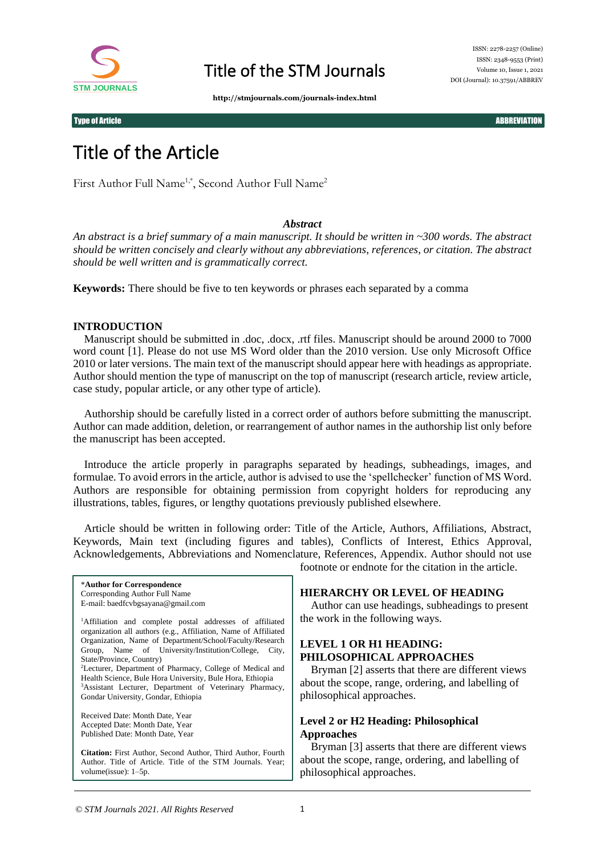

**http://stmjournals.com/journals-index.html**

Type of Article ABBREVIATION ABBREVIATION CONTROL CONTROL CONTROL CONTROL CONTROL CONTROL ABBREVIATION

# Title of the Article

First Author Full Name<sup>1,\*</sup>, Second Author Full Name<sup>2</sup>

## *Abstract*

*An abstract is a brief summary of a main manuscript. It should be written in ~300 words. The abstract should be written concisely and clearly without any abbreviations, references, or citation. The abstract should be well written and is grammatically correct.*

**Keywords:** There should be five to ten keywords or phrases each separated by a comma

#### **INTRODUCTION**

Manuscript should be submitted in .doc, .docx, .rtf files. Manuscript should be around 2000 to 7000 word count [1]. Please do not use MS Word older than the 2010 version. Use only Microsoft Office 2010 or later versions. The main text of the manuscript should appear here with headings as appropriate. Author should mention the type of manuscript on the top of manuscript (research article, review article, case study, popular article, or any other type of article).

Authorship should be carefully listed in a correct order of authors before submitting the manuscript. Author can made addition, deletion, or rearrangement of author names in the authorship list only before the manuscript has been accepted.

Introduce the article properly in paragraphs separated by headings, subheadings, images, and formulae. To avoid errors in the article, author is advised to use the 'spellchecker' function of MS Word. Authors are responsible for obtaining permission from copyright holders for reproducing any illustrations, tables, figures, or lengthy quotations previously published elsewhere.

Article should be written in following order: Title of the Article, Authors, Affiliations, Abstract, Keywords, Main text (including figures and tables), Conflicts of Interest, Ethics Approval, Acknowledgements, Abbreviations and Nomenclature, References, Appendix. Author should not use footnote or endnote for the citation in the article.

\***Author for Correspondence** Corresponding Author Full Name E-mail: baedfcvbgsayana@gmail.com <sup>1</sup>Affiliation and complete postal addresses of affiliated organization all authors (e.g., Affiliation, Name of Affiliated Organization, Name of Department/School/Faculty/Research Group, Name of University/Institution/College, City, State/Province, Country) <sup>2</sup>Lecturer, Department of Pharmacy, College of Medical and Health Science, Bule Hora University, Bule Hora, Ethiopia <sup>3</sup>Assistant Lecturer, Department of Veterinary Pharmacy, Gondar University, Gondar, Ethiopia

Received Date: Month Date, Year Accepted Date: Month Date, Year Published Date: Month Date, Year

**Citation:** First Author, Second Author, Third Author, Fourth Author. Title of Article. Title of the STM Journals. Year; volume(issue): 1–5p.

**HIERARCHY OR LEVEL OF HEADING**

Author can use headings, subheadings to present the work in the following ways.

# **LEVEL 1 OR H1 HEADING: PHILOSOPHICAL APPROACHES**

Bryman [2] asserts that there are different views about the scope, range, ordering, and labelling of philosophical approaches.

# **Level 2 or H2 Heading: Philosophical Approaches**

Bryman [3] asserts that there are different views about the scope, range, ordering, and labelling of philosophical approaches.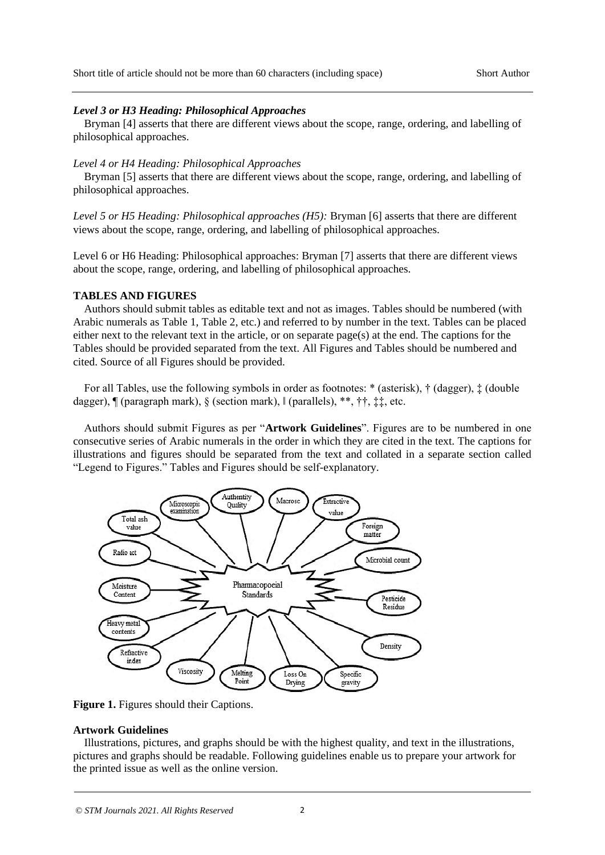#### *Level 3 or H3 Heading: Philosophical Approaches*

Bryman [4] asserts that there are different views about the scope, range, ordering, and labelling of philosophical approaches.

#### *Level 4 or H4 Heading: Philosophical Approaches*

Bryman [5] asserts that there are different views about the scope, range, ordering, and labelling of philosophical approaches.

*Level 5 or H5 Heading: Philosophical approaches (H5):* Bryman [6] asserts that there are different views about the scope, range, ordering, and labelling of philosophical approaches.

Level 6 or H6 Heading: Philosophical approaches: Bryman [7] asserts that there are different views about the scope, range, ordering, and labelling of philosophical approaches.

## **TABLES AND FIGURES**

Authors should submit tables as editable text and not as images. Tables should be numbered (with Arabic numerals as Table 1, Table 2, etc.) and referred to by number in the text. Tables can be placed either next to the relevant text in the article, or on separate  $page(s)$  at the end. The captions for the Tables should be provided separated from the text. All Figures and Tables should be numbered and cited. Source of all Figures should be provided.

For all Tables, use the following symbols in order as footnotes: \* (asterisk), † (dagger), ‡ (double dagger), ¶ (paragraph mark), § (section mark), ‖ (parallels), \*\*, ††, ‡‡, etc.

Authors should submit Figures as per "**Artwork Guidelines**". Figures are to be numbered in one consecutive series of Arabic numerals in the order in which they are cited in the text. The captions for illustrations and figures should be separated from the text and collated in a separate section called "Legend to Figures." Tables and Figures should be self-explanatory.



Figure 1. Figures should their Captions.

### **Artwork Guidelines**

Illustrations, pictures, and graphs should be with the highest quality, and text in the illustrations, pictures and graphs should be readable. Following guidelines enable us to prepare your artwork for the printed issue as well as the online version.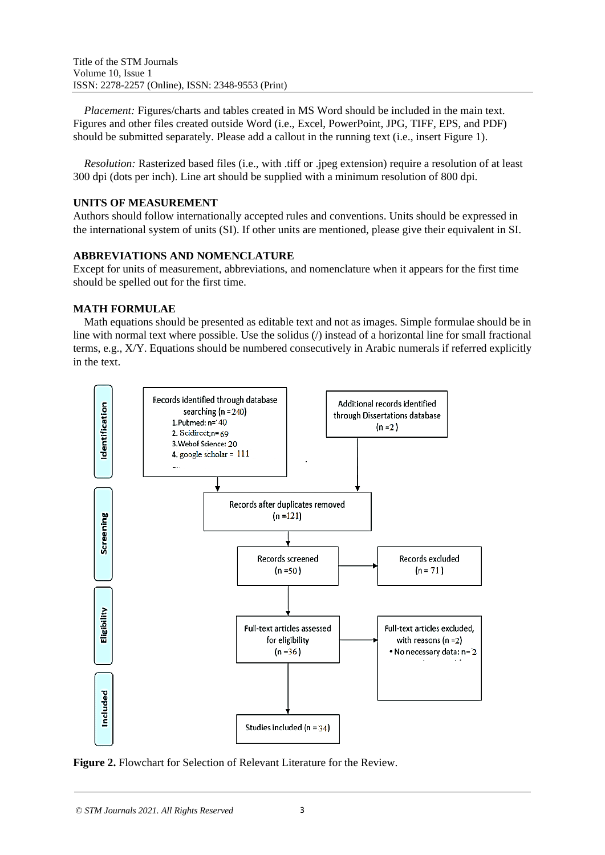*Placement:* Figures/charts and tables created in MS Word should be included in the main text. Figures and other files created outside Word (i.e., Excel, PowerPoint, JPG, TIFF, EPS, and PDF) should be submitted separately. Please add a callout in the running text (i.e., insert Figure 1).

*Resolution:* Rasterized based files (i.e., with .tiff or .jpeg extension) require a resolution of at least 300 dpi (dots per inch). Line art should be supplied with a minimum resolution of 800 dpi.

# **UNITS OF MEASUREMENT**

Authors should follow internationally accepted rules and conventions. Units should be expressed in the international system of units (SI). If other units are mentioned, please give their equivalent in SI.

# **ABBREVIATIONS AND NOMENCLATURE**

Except for units of measurement, abbreviations, and nomenclature when it appears for the first time should be spelled out for the first time.

# **MATH FORMULAE**

Math equations should be presented as editable text and not as images. Simple formulae should be in line with normal text where possible. Use the solidus (/) instead of a horizontal line for small fractional terms, e.g., X/Y. Equations should be numbered consecutively in Arabic numerals if referred explicitly in the text.



**Figure 2.** Flowchart for Selection of Relevant Literature for the Review.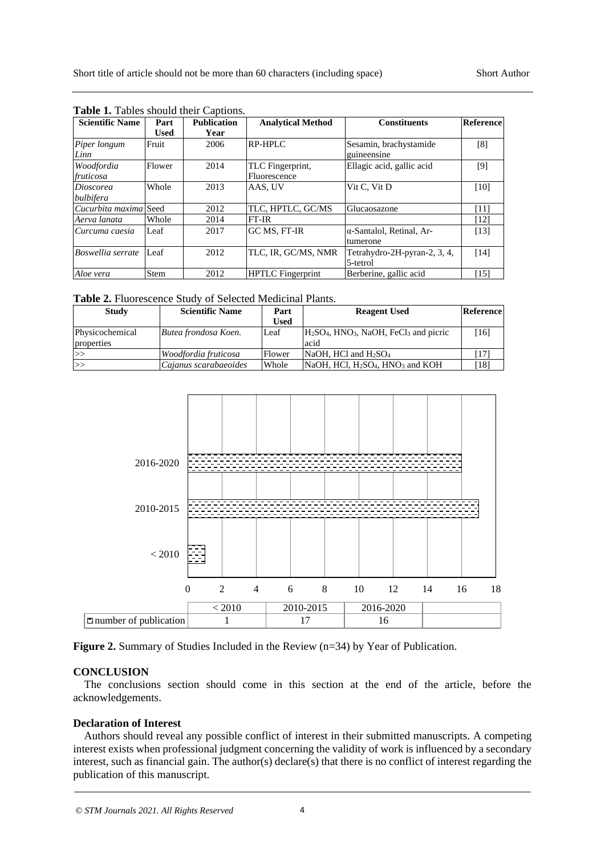| <b>Scientific Name</b>  | Part        | <b>Publication</b> | <b>Analytical Method</b>         | <b>Constituents</b>                          | Reference |
|-------------------------|-------------|--------------------|----------------------------------|----------------------------------------------|-----------|
|                         | <b>Used</b> | Year               |                                  |                                              |           |
| Piper longum<br>Linn    | Fruit       | 2006               | <b>RP-HPLC</b>                   | Sesamin, brachystamide<br>guineensine        | [8]       |
| Woodfordia<br>fruticosa | Flower      | 2014               | TLC Fingerprint,<br>Fluorescence | Ellagic acid, gallic acid                    | [9]       |
| Dioscorea<br>bulbifera  | Whole       | 2013               | AAS, UV                          | Vit C, Vit D                                 | [10]      |
| Cucurbita maxima Seed   |             | 2012               | TLC, HPTLC, GC/MS                | Glucaosazone                                 | [11]      |
| Aerva lanata            | Whole       | 2014               | $FT-IR$                          |                                              | [12]      |
| Curcuma caesia          | Leaf        | 2017               | GC MS. FT-IR                     | $\alpha$ -Santalol, Retinal, Ar-<br>tumerone | [13]      |
| Boswellia serrate       | Leaf        | 2012               | TLC, IR, GC/MS, NMR              | Tetrahydro-2H-pyran-2, 3, 4,<br>5-tetrol     | [14]      |
| Aloe vera               | Stem        | 2012               | <b>HPTLC</b> Fingerprint         | Berberine, gallic acid                       | [15]      |

**Table 1.** Tables should their Captions.

|  | Table 2. Fluorescence Study of Selected Medicinal Plants. |  |  |  |  |
|--|-----------------------------------------------------------|--|--|--|--|
|--|-----------------------------------------------------------|--|--|--|--|

| Study                         | <b>Scientific Name</b> | Part   | <b>Reagent Used</b>                                                     | Reference |
|-------------------------------|------------------------|--------|-------------------------------------------------------------------------|-----------|
|                               |                        | Used   |                                                                         |           |
| Physicochemical<br>properties | Butea frondosa Koen.   | Leaf   | $H2SO4$ , HNO <sub>3</sub> , NaOH, FeCl <sub>3</sub> and picric<br>acid | [16]      |
| >>                            | Woodfordia fruticosa   | Flower | $NaOH$ . HCl and $H2SO4$                                                |           |
| >>                            | Cajanus scarabaeoides  | Whole  | $NaOH$ , HCl, H <sub>2</sub> SO <sub>4</sub> , HNO <sub>3</sub> and KOH | [18]      |



**Figure 2.** Summary of Studies Included in the Review (n=34) by Year of Publication.

#### **CONCLUSION**

The conclusions section should come in this section at the end of the article, before the acknowledgements.

#### **Declaration of Interest**

Authors should reveal any possible conflict of interest in their submitted manuscripts. A competing interest exists when professional judgment concerning the validity of work is influenced by a secondary interest, such as financial gain. The author(s) declare(s) that there is no conflict of interest regarding the publication of this manuscript.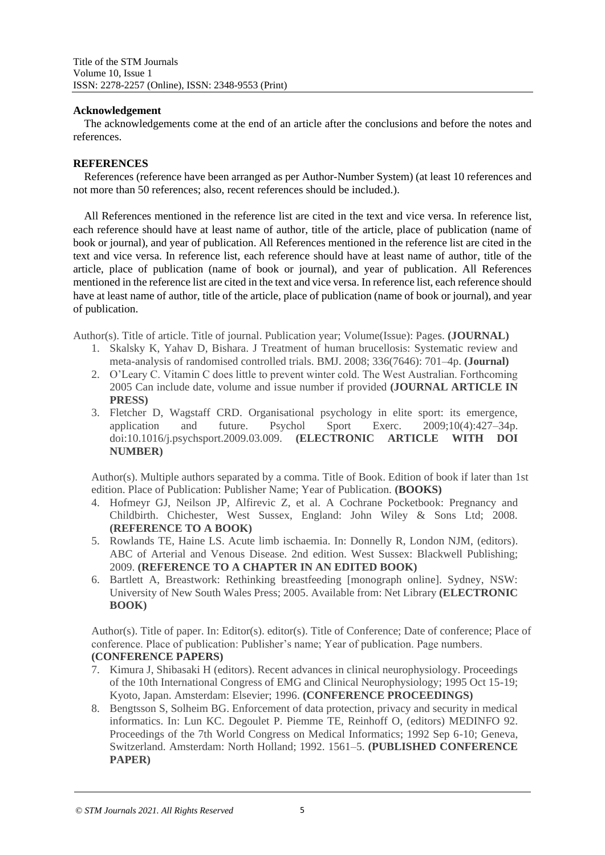# **Acknowledgement**

The acknowledgements come at the end of an article after the conclusions and before the notes and references.

# **REFERENCES**

References (reference have been arranged as per Author-Number System) (at least 10 references and not more than 50 references; also, recent references should be included.).

All References mentioned in the reference list are cited in the text and vice versa. In reference list, each reference should have at least name of author, title of the article, place of publication (name of book or journal), and year of publication. All References mentioned in the reference list are cited in the text and vice versa. In reference list, each reference should have at least name of author, title of the article, place of publication (name of book or journal), and year of publication. All References mentioned in the reference list are cited in the text and vice versa. In reference list, each reference should have at least name of author, title of the article, place of publication (name of book or journal), and year of publication.

Author(s). Title of article. Title of journal. Publication year; Volume(Issue): Pages. **(JOURNAL)**

- 1. Skalsky K, Yahav D, Bishara. J Treatment of human brucellosis: Systematic review and meta-analysis of randomised controlled trials. BMJ. 2008; 336(7646): 701–4p. **(Journal)**
- 2. O'Leary C. Vitamin C does little to prevent winter cold. The West Australian. Forthcoming 2005 Can include date, volume and issue number if provided **(JOURNAL ARTICLE IN PRESS)**
- 3. Fletcher D, Wagstaff CRD. Organisational psychology in elite sport: its emergence, application and future. Psychol Sport Exerc. 2009;10(4):427–34p. doi:10.1016/j.psychsport.2009.03.009. **(ELECTRONIC ARTICLE WITH DOI NUMBER)**

Author(s). Multiple authors separated by a comma. Title of Book. Edition of book if later than 1st edition. Place of Publication: Publisher Name; Year of Publication. **(BOOKS)**

- 4. Hofmeyr GJ, Neilson JP, Alfirevic Z, et al. A Cochrane Pocketbook: Pregnancy and Childbirth. Chichester, West Sussex, England: John Wiley & Sons Ltd; 2008. **(REFERENCE TO A BOOK)**
- 5. Rowlands TE, Haine LS. Acute limb ischaemia. In: Donnelly R, London NJM, (editors). ABC of Arterial and Venous Disease. 2nd edition. West Sussex: Blackwell Publishing; 2009. **(REFERENCE TO A CHAPTER IN AN EDITED BOOK)**
- 6. Bartlett A, Breastwork: Rethinking breastfeeding [monograph online]. Sydney, NSW: University of New South Wales Press; 2005. Available from: Net Library **(ELECTRONIC BOOK)**

Author(s). Title of paper. In: Editor(s). editor(s). Title of Conference; Date of conference; Place of conference. Place of publication: Publisher's name; Year of publication. Page numbers. **(CONFERENCE PAPERS)**

- 7. Kimura J, Shibasaki H (editors). Recent advances in clinical neurophysiology. Proceedings of the 10th International Congress of EMG and Clinical Neurophysiology; 1995 Oct 15-19; Kyoto, Japan. Amsterdam: Elsevier; 1996. **(CONFERENCE PROCEEDINGS)**
- 8. Bengtsson S, Solheim BG. Enforcement of data protection, privacy and security in medical informatics. In: Lun KC. Degoulet P. Piemme TE, Reinhoff O, (editors) MEDINFO 92. Proceedings of the 7th World Congress on Medical Informatics; 1992 Sep 6-10; Geneva, Switzerland. Amsterdam: North Holland; 1992. 1561–5. **(PUBLISHED CONFERENCE PAPER)**